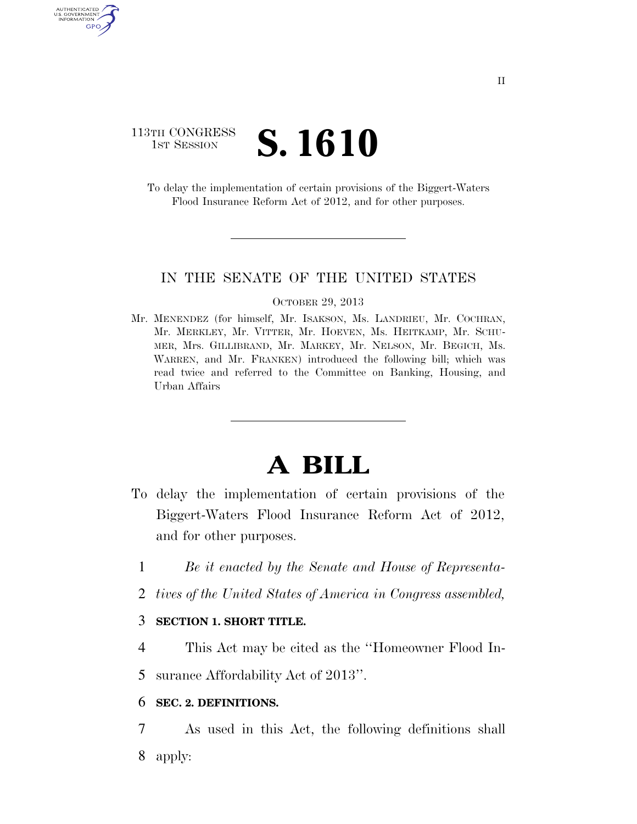### 113TH CONGRESS **1ST SESSION S. 1610**

AUTHENTICATED U.S. GOVERNMENT GPO

> To delay the implementation of certain provisions of the Biggert-Waters Flood Insurance Reform Act of 2012, and for other purposes.

#### IN THE SENATE OF THE UNITED STATES

#### OCTOBER 29, 2013

Mr. MENENDEZ (for himself, Mr. ISAKSON, Ms. LANDRIEU, Mr. COCHRAN, Mr. MERKLEY, Mr. VITTER, Mr. HOEVEN, Ms. HEITKAMP, Mr. SCHU-MER, Mrs. GILLIBRAND, Mr. MARKEY, Mr. NELSON, Mr. BEGICH, Ms. WARREN, and Mr. FRANKEN) introduced the following bill; which was read twice and referred to the Committee on Banking, Housing, and Urban Affairs

# **A BILL**

- To delay the implementation of certain provisions of the Biggert-Waters Flood Insurance Reform Act of 2012, and for other purposes.
	- 1 *Be it enacted by the Senate and House of Representa-*
	- 2 *tives of the United States of America in Congress assembled,*

#### 3 **SECTION 1. SHORT TITLE.**

4 This Act may be cited as the ''Homeowner Flood In-

5 surance Affordability Act of 2013''.

#### 6 **SEC. 2. DEFINITIONS.**

7 As used in this Act, the following definitions shall 8 apply: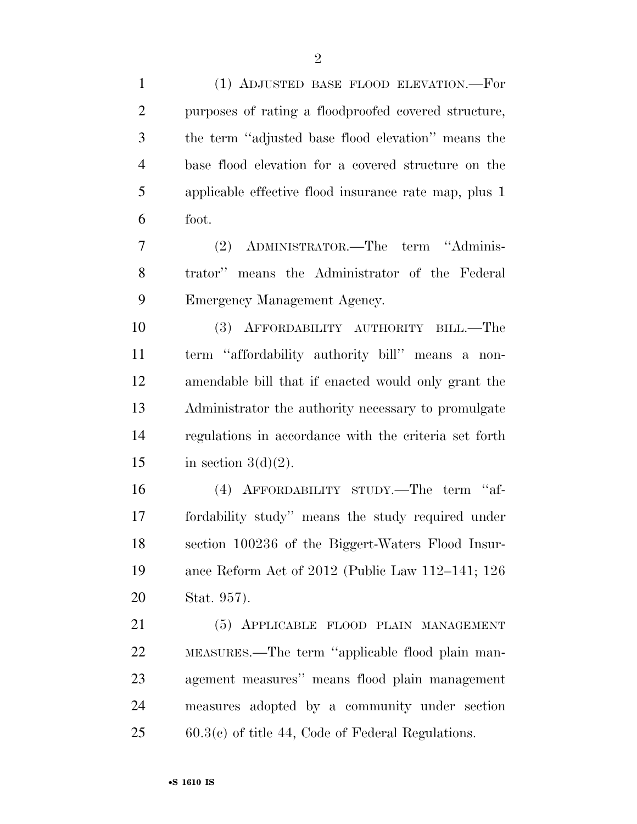(1) ADJUSTED BASE FLOOD ELEVATION.—For

 purposes of rating a floodproofed covered structure, the term ''adjusted base flood elevation'' means the base flood elevation for a covered structure on the applicable effective flood insurance rate map, plus 1 foot. (2) ADMINISTRATOR.—The term ''Adminis- trator'' means the Administrator of the Federal Emergency Management Agency. (3) AFFORDABILITY AUTHORITY BILL.—The term ''affordability authority bill'' means a non- amendable bill that if enacted would only grant the Administrator the authority necessary to promulgate regulations in accordance with the criteria set forth 15 in section  $3(d)(2)$ . (4) AFFORDABILITY STUDY.—The term ''af- fordability study'' means the study required under section 100236 of the Biggert-Waters Flood Insur- ance Reform Act of 2012 (Public Law 112–141; 126 Stat. 957). (5) APPLICABLE FLOOD PLAIN MANAGEMENT MEASURES.—The term ''applicable flood plain man- agement measures'' means flood plain management measures adopted by a community under section 60.3(c) of title 44, Code of Federal Regulations.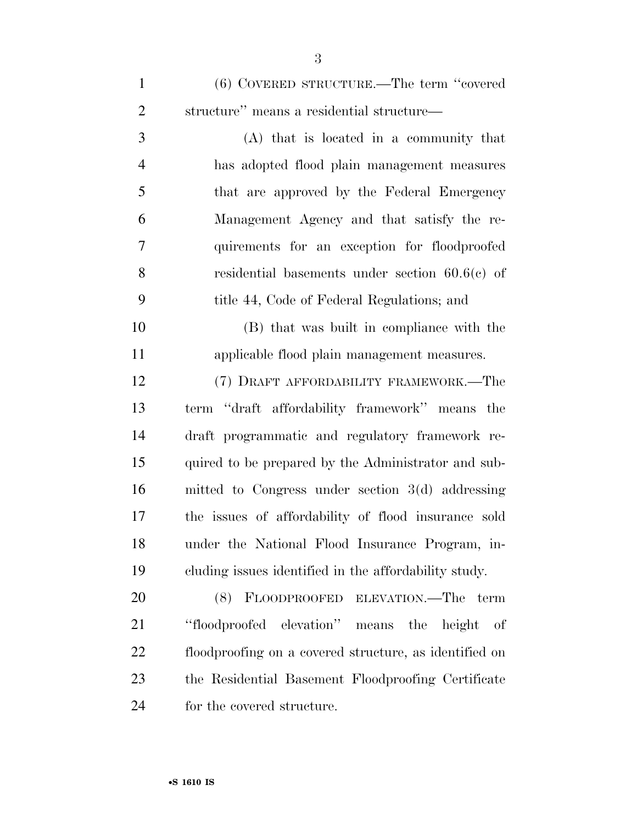(6) COVERED STRUCTURE.—The term ''covered structure'' means a residential structure—

 (A) that is located in a community that has adopted flood plain management measures that are approved by the Federal Emergency Management Agency and that satisfy the re- quirements for an exception for floodproofed residential basements under section 60.6(c) of title 44, Code of Federal Regulations; and

 (B) that was built in compliance with the applicable flood plain management measures.

 (7) DRAFT AFFORDABILITY FRAMEWORK.—The term ''draft affordability framework'' means the draft programmatic and regulatory framework re- quired to be prepared by the Administrator and sub- mitted to Congress under section 3(d) addressing the issues of affordability of flood insurance sold under the National Flood Insurance Program, in-cluding issues identified in the affordability study.

 (8) FLOODPROOFED ELEVATION.—The term ''floodproofed elevation'' means the height of floodproofing on a covered structure, as identified on the Residential Basement Floodproofing Certificate for the covered structure.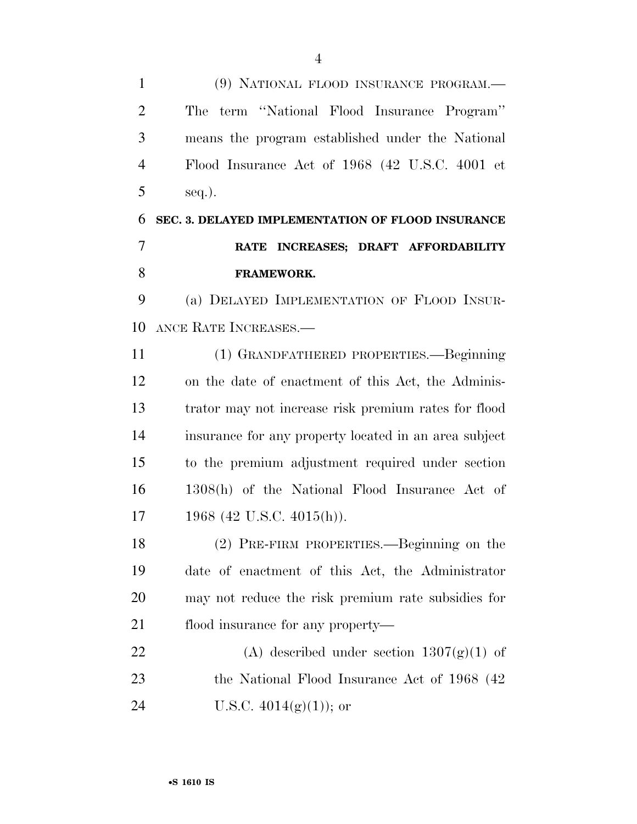(9) NATIONAL FLOOD INSURANCE PROGRAM.— The term ''National Flood Insurance Program'' means the program established under the National Flood Insurance Act of 1968 (42 U.S.C. 4001 et  $5 \text{ seq.}.$  **SEC. 3. DELAYED IMPLEMENTATION OF FLOOD INSURANCE RATE INCREASES; DRAFT AFFORDABILITY FRAMEWORK.**  (a) DELAYED IMPLEMENTATION OF FLOOD INSUR- ANCE RATE INCREASES.— (1) GRANDFATHERED PROPERTIES.—Beginning on the date of enactment of this Act, the Adminis- trator may not increase risk premium rates for flood insurance for any property located in an area subject to the premium adjustment required under section 1308(h) of the National Flood Insurance Act of 1968 (42 U.S.C. 4015(h)). (2) PRE-FIRM PROPERTIES.—Beginning on the date of enactment of this Act, the Administrator may not reduce the risk premium rate subsidies for 21 flood insurance for any property— 22 (A) described under section  $1307(g)(1)$  of 23 the National Flood Insurance Act of 1968 (42) 24 U.S.C.  $4014(g)(1)$ ; or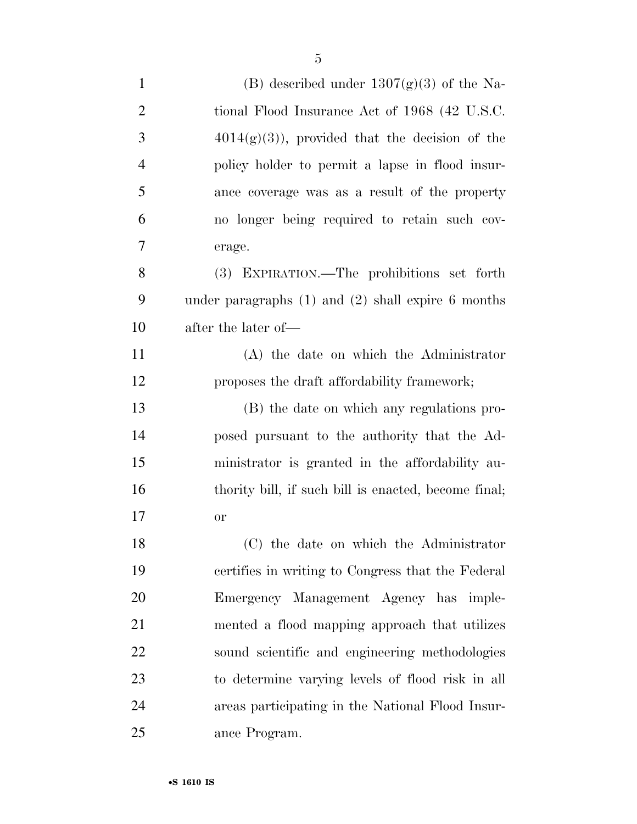| $\mathbf{1}$   | (B) described under $1307(g)(3)$ of the Na-            |
|----------------|--------------------------------------------------------|
| $\overline{2}$ | tional Flood Insurance Act of 1968 (42 U.S.C.          |
| 3              | $4014(g)(3)$ , provided that the decision of the       |
| 4              | policy holder to permit a lapse in flood insur-        |
| 5              | ance coverage was as a result of the property          |
| 6              | no longer being required to retain such cov-           |
| $\overline{7}$ | erage.                                                 |
| 8              | (3) EXPIRATION.—The prohibitions set forth             |
| 9              | under paragraphs $(1)$ and $(2)$ shall expire 6 months |
| 10             | after the later of—                                    |
| 11             | (A) the date on which the Administrator                |
| 12             | proposes the draft affordability framework;            |
| 13             | (B) the date on which any regulations pro-             |
| 14             | posed pursuant to the authority that the Ad-           |
| 15             | ministrator is granted in the affordability au-        |
| 16             | thority bill, if such bill is enacted, become final;   |
| 17             | <b>or</b>                                              |
| 18             | (C) the date on which the Administrator                |
| 19             | certifies in writing to Congress that the Federal      |
| 20             | Emergency Management Agency has imple-                 |
| 21             | mented a flood mapping approach that utilizes          |
| 22             | sound scientific and engineering methodologies         |
| 23             | to determine varying levels of flood risk in all       |
| 24             | areas participating in the National Flood Insur-       |
| 25             | ance Program.                                          |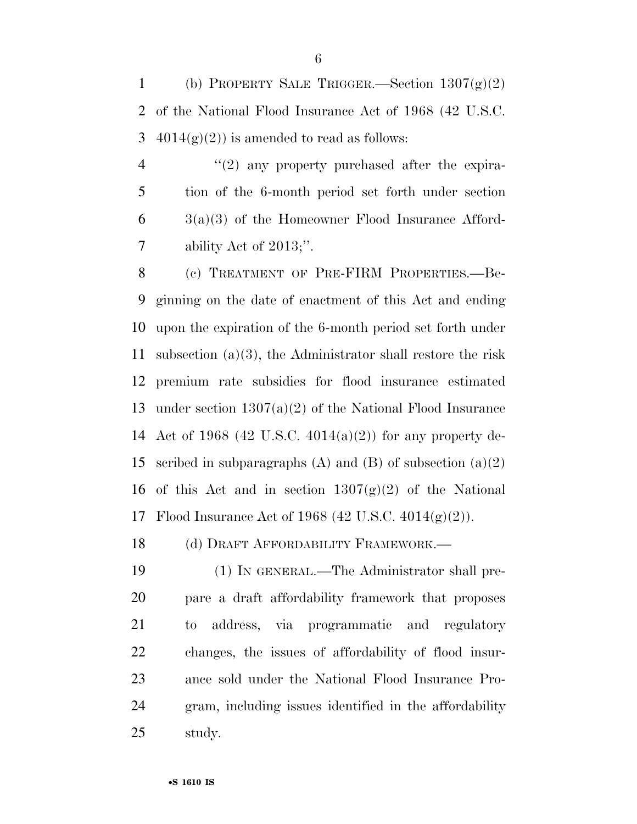1 (b) PROPERTY SALE TRIGGER.—Section  $1307(g)(2)$  of the National Flood Insurance Act of 1968 (42 U.S.C. 3  $4014(g)(2)$  is amended to read as follows:

 $\frac{4}{2}$  (2) any property purchased after the expira- tion of the 6-month period set forth under section  $6 \qquad \text{3(a)}(3)$  of the Homeowner Flood Insurance Afford-ability Act of 2013;''.

 (c) TREATMENT OF PRE-FIRM PROPERTIES.—Be- ginning on the date of enactment of this Act and ending upon the expiration of the 6-month period set forth under subsection (a)(3), the Administrator shall restore the risk premium rate subsidies for flood insurance estimated under section 1307(a)(2) of the National Flood Insurance Act of 1968 (42 U.S.C. 4014(a)(2)) for any property de-15 scribed in subparagraphs (A) and (B) of subsection  $(a)(2)$ 16 of this Act and in section  $1307(g)(2)$  of the National Flood Insurance Act of 1968 (42 U.S.C. 4014(g)(2)).

18 (d) DRAFT AFFORDABILITY FRAMEWORK.—

 (1) IN GENERAL.—The Administrator shall pre- pare a draft affordability framework that proposes to address, via programmatic and regulatory changes, the issues of affordability of flood insur- ance sold under the National Flood Insurance Pro- gram, including issues identified in the affordability study.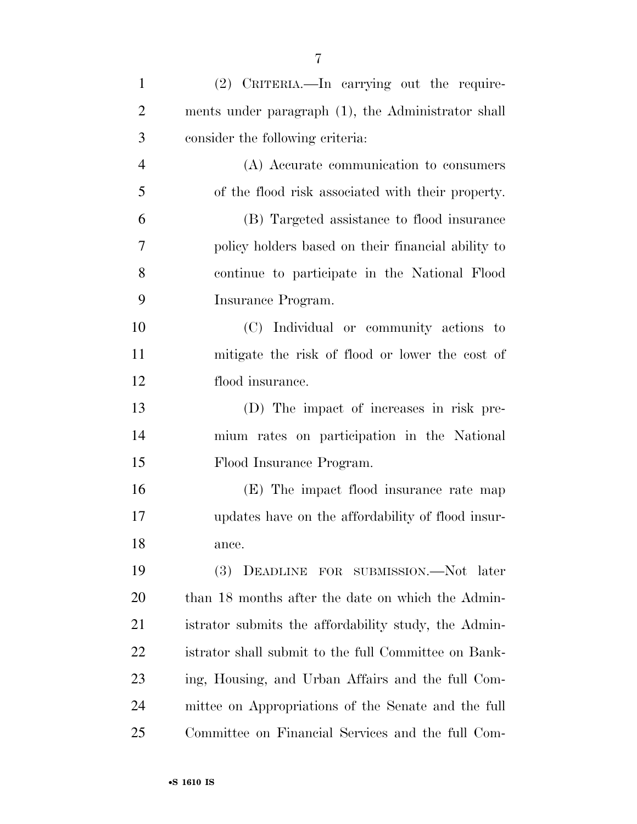| $\mathbf{1}$   | (2) CRITERIA.—In carrying out the require-           |
|----------------|------------------------------------------------------|
| $\overline{2}$ | ments under paragraph (1), the Administrator shall   |
| 3              | consider the following criteria:                     |
| $\overline{4}$ | (A) Accurate communication to consumers              |
| 5              | of the flood risk associated with their property.    |
| 6              | (B) Targeted assistance to flood insurance           |
| 7              | policy holders based on their financial ability to   |
| 8              | continue to participate in the National Flood        |
| 9              | Insurance Program.                                   |
| 10             | (C) Individual or community actions to               |
| 11             | mitigate the risk of flood or lower the cost of      |
| 12             | flood insurance.                                     |
| 13             | (D) The impact of increases in risk pre-             |
| 14             | mium rates on participation in the National          |
| 15             | Flood Insurance Program.                             |
| 16             | (E) The impact flood insurance rate map              |
| 17             | updates have on the affordability of flood insur-    |
| 18             | ance.                                                |
| 19             | (3) DEADLINE FOR SUBMISSION.—Not later               |
| 20             | than 18 months after the date on which the Admin-    |
| 21             | istrator submits the affordability study, the Admin- |
| 22             | istrator shall submit to the full Committee on Bank- |
| 23             | ing, Housing, and Urban Affairs and the full Com-    |
| 24             | mittee on Appropriations of the Senate and the full  |
| 25             | Committee on Financial Services and the full Com-    |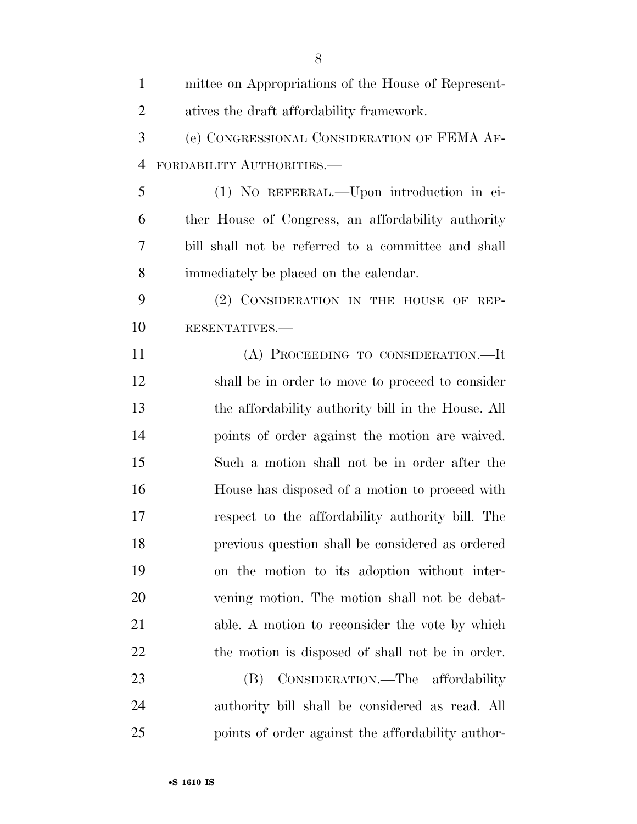| $\mathbf{1}$   | mittee on Appropriations of the House of Represent- |
|----------------|-----------------------------------------------------|
| $\overline{2}$ | atives the draft affordability framework.           |
| 3              | (e) CONGRESSIONAL CONSIDERATION OF FEMA AF-         |
| $\overline{4}$ | FORDABILITY AUTHORITIES.-                           |
| 5              | (1) NO REFERRAL.—Upon introduction in ei-           |
| 6              | ther House of Congress, an affordability authority  |
| 7              | bill shall not be referred to a committee and shall |
| 8              | immediately be placed on the calendar.              |
| 9              | (2) CONSIDERATION IN THE HOUSE OF REP-              |
| 10             | RESENTATIVES.-                                      |
| 11             | (A) PROCEEDING TO CONSIDERATION.—It                 |
| 12             | shall be in order to move to proceed to consider    |
| 13             | the affordability authority bill in the House. All  |
| 14             | points of order against the motion are waived.      |
| 15             | Such a motion shall not be in order after the       |
| 16             | House has disposed of a motion to proceed with      |
| 17             | respect to the affordability authority bill. The    |
| 18             | previous question shall be considered as ordered    |
| 19             | on the motion to its adoption without inter-        |
| 20             | vening motion. The motion shall not be debat-       |
| 21             | able. A motion to reconsider the vote by which      |
| 22             | the motion is disposed of shall not be in order.    |
| 23             | CONSIDERATION.—The affordability<br>(B)             |
| 24             | authority bill shall be considered as read. All     |
| 25             | points of order against the affordability author-   |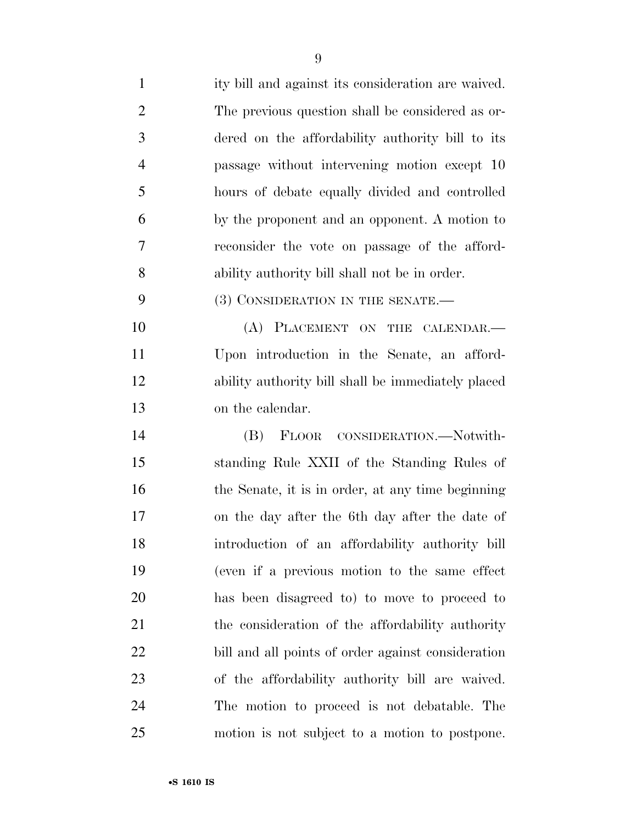| $\mathbf{1}$   | ity bill and against its consideration are waived. |
|----------------|----------------------------------------------------|
| $\overline{2}$ | The previous question shall be considered as or-   |
| 3              | dered on the affordability authority bill to its   |
| $\overline{4}$ | passage without intervening motion except 10       |
| 5              | hours of debate equally divided and controlled     |
| 6              | by the proponent and an opponent. A motion to      |
| 7              | reconsider the vote on passage of the afford-      |
| 8              | ability authority bill shall not be in order.      |
| 9              | (3) CONSIDERATION IN THE SENATE.—                  |
| 10             | (A) PLACEMENT ON THE CALENDAR.-                    |
| 11             | Upon introduction in the Senate, an afford-        |
| 12             | ability authority bill shall be immediately placed |
| 13             | on the calendar.                                   |
| 14             | FLOOR CONSIDERATION.-Notwith-<br>(B)               |
| 15             | standing Rule XXII of the Standing Rules of        |
| 16             | the Senate, it is in order, at any time beginning  |
| 17             | on the day after the 6th day after the date of     |
| 18             | introduction of an affordability authority bill    |
| 19             | (even if a previous motion to the same effect      |
| 20             | has been disagreed to to move to proceed to        |
| 21             | the consideration of the affordability authority   |
| 22             | bill and all points of order against consideration |
| 23             | of the affordability authority bill are waived.    |
| 24             | The motion to proceed is not debatable. The        |
| 25             | motion is not subject to a motion to postpone.     |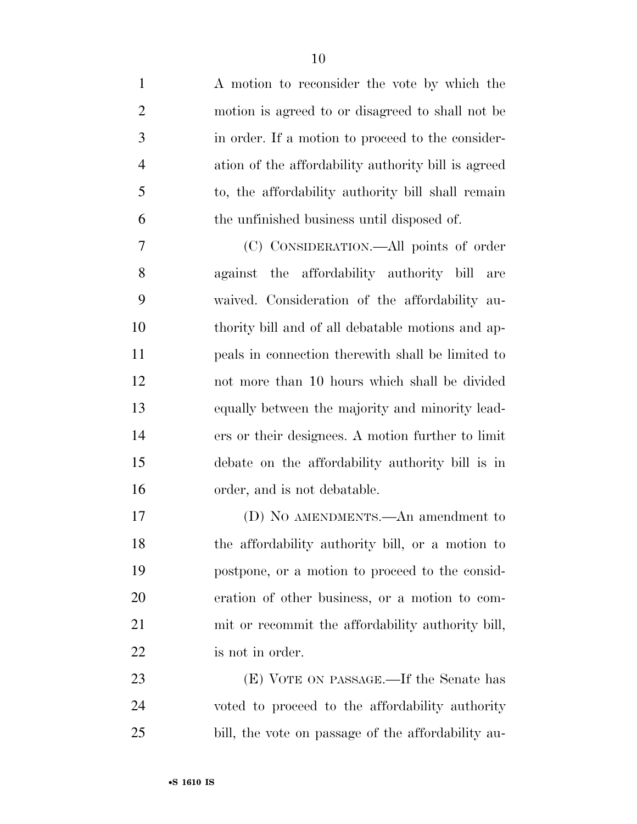| $\mathbf{1}$   | A motion to reconsider the vote by which the        |
|----------------|-----------------------------------------------------|
| $\overline{2}$ | motion is agreed to or disagreed to shall not be    |
| 3              | in order. If a motion to proceed to the consider-   |
| $\overline{4}$ | ation of the affordability authority bill is agreed |
| 5              | to, the affordability authority bill shall remain   |
| 6              | the unfinished business until disposed of.          |
| 7              | (C) CONSIDERATION.—All points of order              |
| 8              | against the affordability authority bill<br>are     |
| 9              | waived. Consideration of the affordability au-      |
| 10             | thority bill and of all debatable motions and ap-   |
| 11             | peals in connection therewith shall be limited to   |
| 12             | not more than 10 hours which shall be divided       |
| 13             | equally between the majority and minority lead-     |
| 14             | ers or their designees. A motion further to limit   |
| 15             | debate on the affordability authority bill is in    |
| 16             | order, and is not debatable.                        |
| 17             | (D) NO AMENDMENTS.—An amendment to                  |
| 18             | the affordability authority bill, or a motion to    |
| 19             | postpone, or a motion to proceed to the consid-     |
| 20             | eration of other business, or a motion to com-      |
| 21             | mit or recommit the affordability authority bill,   |
| 22             | is not in order.                                    |
| 23             | (E) VOTE ON PASSAGE.—If the Senate has              |
| 24             | voted to proceed to the affordability authority     |
| 25             | bill, the vote on passage of the affordability au-  |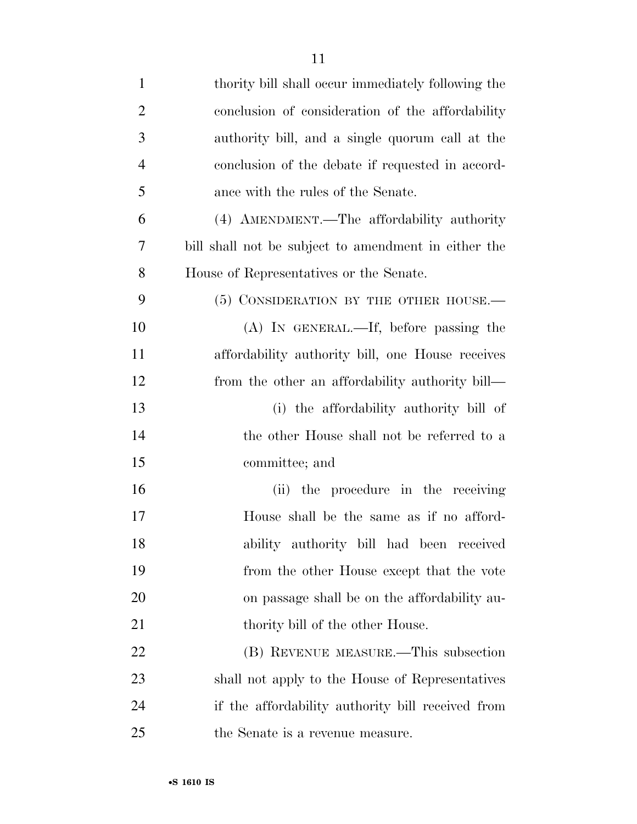| $\mathbf{1}$   | thority bill shall occur immediately following the   |
|----------------|------------------------------------------------------|
| $\overline{2}$ | conclusion of consideration of the affordability     |
| 3              | authority bill, and a single quorum call at the      |
| $\overline{4}$ | conclusion of the debate if requested in accord-     |
| 5              | ance with the rules of the Senate.                   |
| 6              | (4) AMENDMENT.—The affordability authority           |
| 7              | bill shall not be subject to amendment in either the |
| 8              | House of Representatives or the Senate.              |
| 9              | (5) CONSIDERATION BY THE OTHER HOUSE.                |
| 10             | $(A)$ In GENERAL.—If, before passing the             |
| 11             | affordability authority bill, one House receives     |
| 12             | from the other an affordability authority bill—      |
| 13             | (i) the affordability authority bill of              |
| 14             | the other House shall not be referred to a           |
| 15             | committee; and                                       |
| 16             | the procedure in the receiving<br>(ii)               |
| 17             | House shall be the same as if no afford-             |
| 18             | ability authority bill had been received             |
| 19             | from the other House except that the vote            |
| 20             | on passage shall be on the affordability au-         |
| 21             | thority bill of the other House.                     |
| 22             | (B) REVENUE MEASURE.—This subsection                 |
| 23             | shall not apply to the House of Representatives      |
| 24             | if the affordability authority bill received from    |
| 25             | the Senate is a revenue measure.                     |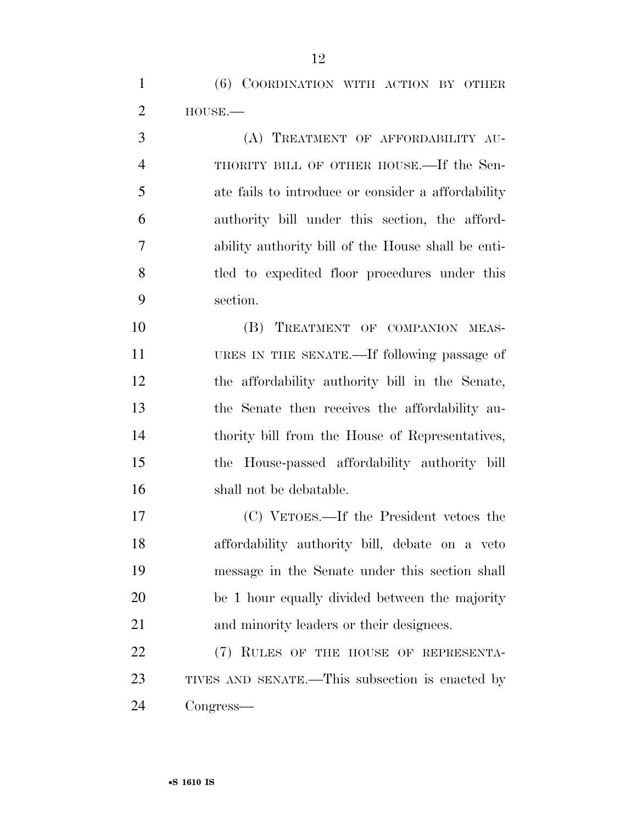(6) COORDINATION WITH ACTION BY OTHER HOUSE.—

 (A) TREATMENT OF AFFORDABILITY AU- THORITY BILL OF OTHER HOUSE.—If the Sen- ate fails to introduce or consider a affordability authority bill under this section, the afford- ability authority bill of the House shall be enti-8 tled to expedited floor procedures under this section.

10 (B) TREATMENT OF COMPANION MEAS- URES IN THE SENATE.—If following passage of the affordability authority bill in the Senate, the Senate then receives the affordability au- thority bill from the House of Representatives, the House-passed affordability authority bill shall not be debatable.

 (C) VETOES.—If the President vetoes the affordability authority bill, debate on a veto message in the Senate under this section shall be 1 hour equally divided between the majority and minority leaders or their designees.

22 (7) RULES OF THE HOUSE OF REPRESENTA- TIVES AND SENATE.—This subsection is enacted by Congress—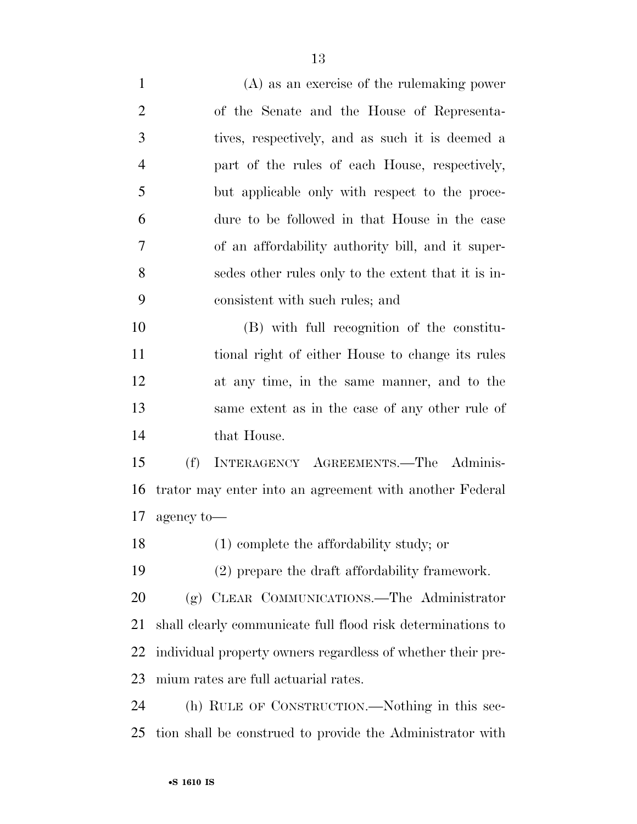(A) as an exercise of the rulemaking power of the Senate and the House of Representa- tives, respectively, and as such it is deemed a part of the rules of each House, respectively, but applicable only with respect to the proce- dure to be followed in that House in the case of an affordability authority bill, and it super- sedes other rules only to the extent that it is in- consistent with such rules; and (B) with full recognition of the constitu- tional right of either House to change its rules at any time, in the same manner, and to the same extent as in the case of any other rule of that House. (f) INTERAGENCY AGREEMENTS.—The Adminis- trator may enter into an agreement with another Federal agency to— (1) complete the affordability study; or (2) prepare the draft affordability framework. (g) CLEAR COMMUNICATIONS.—The Administrator shall clearly communicate full flood risk determinations to individual property owners regardless of whether their pre-mium rates are full actuarial rates.

 (h) RULE OF CONSTRUCTION.—Nothing in this sec-tion shall be construed to provide the Administrator with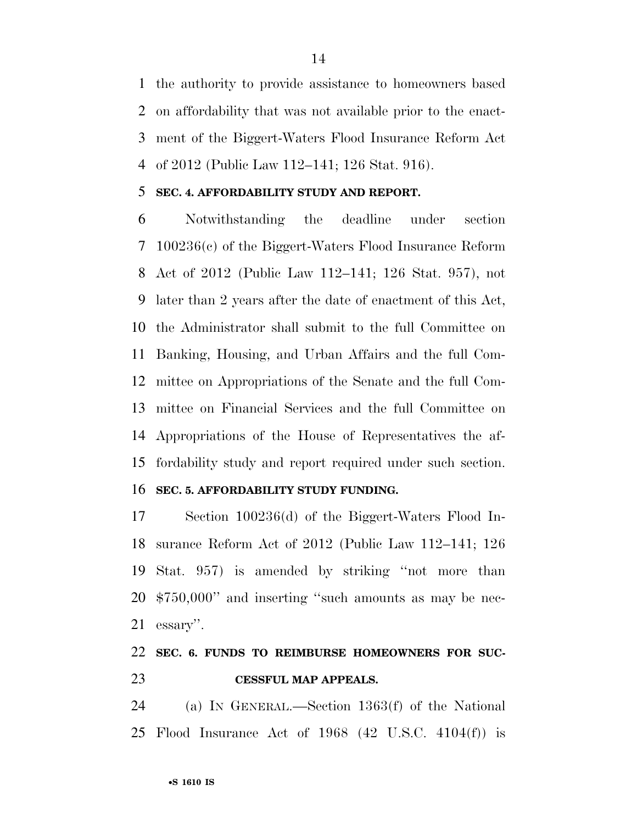the authority to provide assistance to homeowners based on affordability that was not available prior to the enact- ment of the Biggert-Waters Flood Insurance Reform Act of 2012 (Public Law 112–141; 126 Stat. 916).

#### **SEC. 4. AFFORDABILITY STUDY AND REPORT.**

 Notwithstanding the deadline under section 100236(c) of the Biggert-Waters Flood Insurance Reform Act of 2012 (Public Law 112–141; 126 Stat. 957), not later than 2 years after the date of enactment of this Act, the Administrator shall submit to the full Committee on Banking, Housing, and Urban Affairs and the full Com- mittee on Appropriations of the Senate and the full Com- mittee on Financial Services and the full Committee on Appropriations of the House of Representatives the af-fordability study and report required under such section.

#### **SEC. 5. AFFORDABILITY STUDY FUNDING.**

 Section 100236(d) of the Biggert-Waters Flood In- surance Reform Act of 2012 (Public Law 112–141; 126 Stat. 957) is amended by striking ''not more than \$750,000'' and inserting ''such amounts as may be nec-essary''.

## **SEC. 6. FUNDS TO REIMBURSE HOMEOWNERS FOR SUC-CESSFUL MAP APPEALS.**

 (a) IN GENERAL.—Section 1363(f) of the National Flood Insurance Act of 1968 (42 U.S.C. 4104(f)) is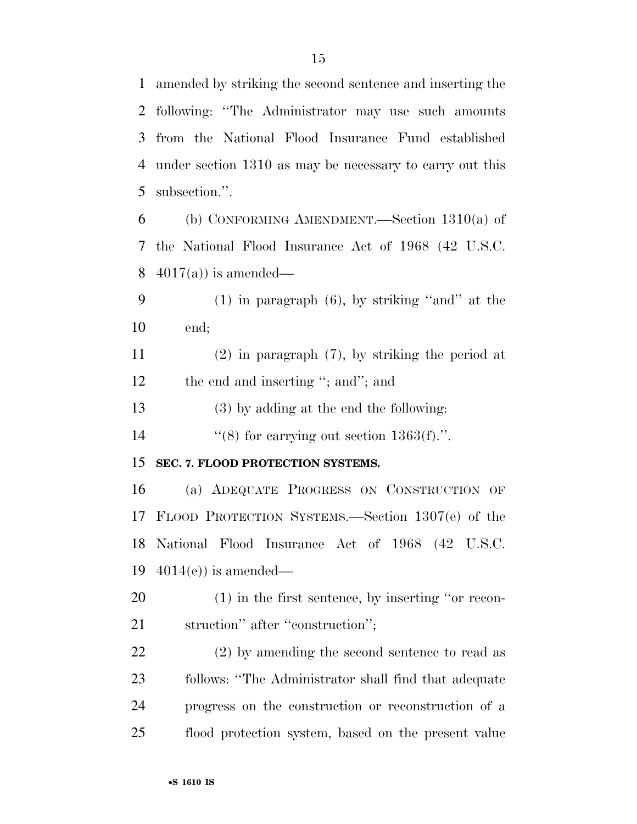amended by striking the second sentence and inserting the following: ''The Administrator may use such amounts from the National Flood Insurance Fund established under section 1310 as may be necessary to carry out this subsection.''. (b) CONFORMING AMENDMENT.—Section 1310(a) of the National Flood Insurance Act of 1968 (42 U.S.C.  $4017(a)$  is amended— (1) in paragraph (6), by striking ''and'' at the end; (2) in paragraph (7), by striking the period at 12 the end and inserting "; and"; and (3) by adding at the end the following:  $\frac{1}{8}$  for carrying out section 1363(f).". **SEC. 7. FLOOD PROTECTION SYSTEMS.**  (a) ADEQUATE PROGRESS ON CONSTRUCTION OF FLOOD PROTECTION SYSTEMS.—Section 1307(e) of the National Flood Insurance Act of 1968 (42 U.S.C.  $4014(e)$  is amended— (1) in the first sentence, by inserting ''or recon-

21 struction" after "construction";

 (2) by amending the second sentence to read as follows: ''The Administrator shall find that adequate progress on the construction or reconstruction of a flood protection system, based on the present value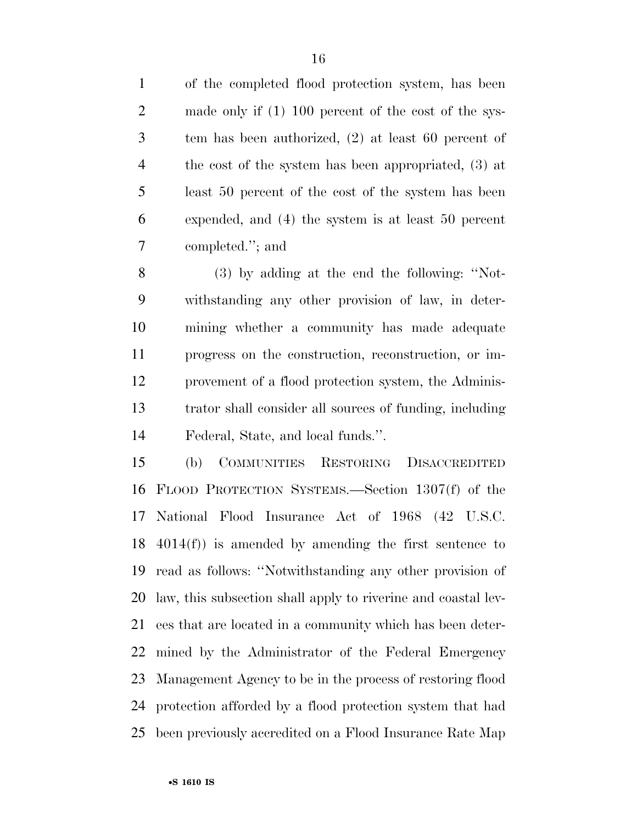tem has been authorized, (2) at least 60 percent of the cost of the system has been appropriated, (3) at least 50 percent of the cost of the system has been expended, and (4) the system is at least 50 percent completed.''; and

 (3) by adding at the end the following: ''Not- withstanding any other provision of law, in deter- mining whether a community has made adequate progress on the construction, reconstruction, or im- provement of a flood protection system, the Adminis- trator shall consider all sources of funding, including Federal, State, and local funds.''.

 (b) COMMUNITIES RESTORING DISACCREDITED FLOOD PROTECTION SYSTEMS.—Section 1307(f) of the National Flood Insurance Act of 1968 (42 U.S.C. 4014(f)) is amended by amending the first sentence to read as follows: ''Notwithstanding any other provision of law, this subsection shall apply to riverine and coastal lev- ees that are located in a community which has been deter- mined by the Administrator of the Federal Emergency Management Agency to be in the process of restoring flood protection afforded by a flood protection system that had been previously accredited on a Flood Insurance Rate Map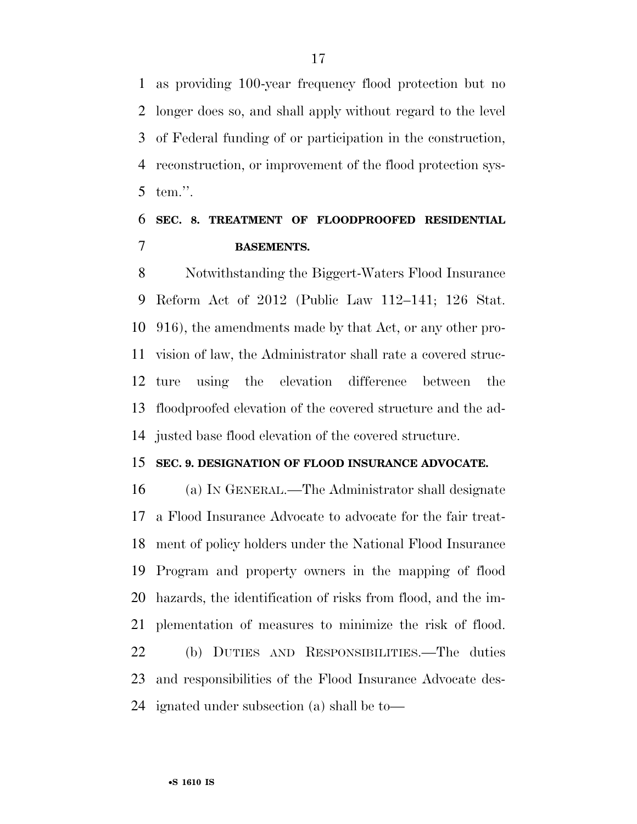as providing 100-year frequency flood protection but no longer does so, and shall apply without regard to the level of Federal funding of or participation in the construction, reconstruction, or improvement of the flood protection sys-tem.''.

## **SEC. 8. TREATMENT OF FLOODPROOFED RESIDENTIAL BASEMENTS.**

 Notwithstanding the Biggert-Waters Flood Insurance Reform Act of 2012 (Public Law 112–141; 126 Stat. 916), the amendments made by that Act, or any other pro- vision of law, the Administrator shall rate a covered struc- ture using the elevation difference between the floodproofed elevation of the covered structure and the ad-justed base flood elevation of the covered structure.

#### **SEC. 9. DESIGNATION OF FLOOD INSURANCE ADVOCATE.**

 (a) IN GENERAL.—The Administrator shall designate a Flood Insurance Advocate to advocate for the fair treat- ment of policy holders under the National Flood Insurance Program and property owners in the mapping of flood hazards, the identification of risks from flood, and the im- plementation of measures to minimize the risk of flood. (b) DUTIES AND RESPONSIBILITIES.—The duties and responsibilities of the Flood Insurance Advocate des-ignated under subsection (a) shall be to—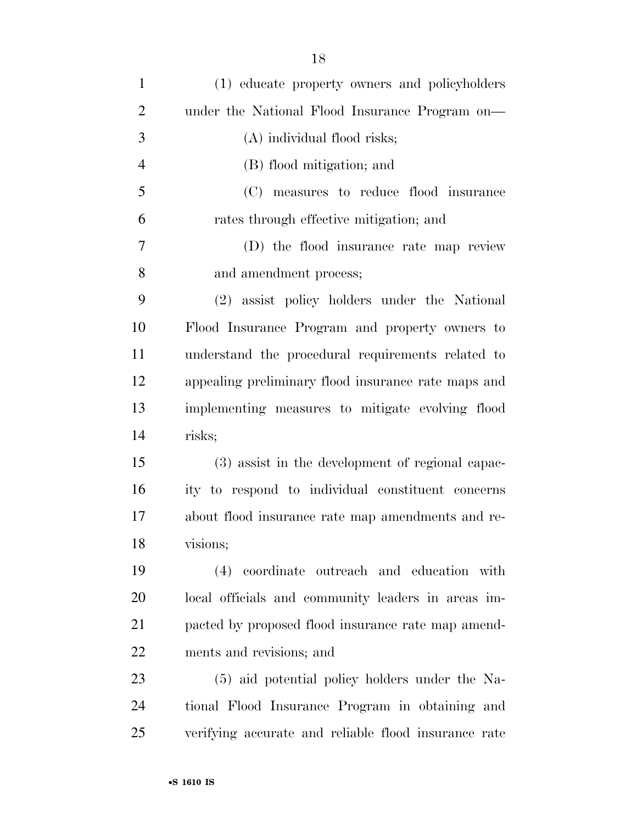| $\mathbf{1}$   | (1) educate property owners and policyholders        |
|----------------|------------------------------------------------------|
| $\overline{2}$ | under the National Flood Insurance Program on-       |
| 3              | (A) individual flood risks;                          |
| $\overline{4}$ | (B) flood mitigation; and                            |
| 5              | (C) measures to reduce flood insurance               |
| 6              | rates through effective mitigation; and              |
| $\overline{7}$ | (D) the flood insurance rate map review              |
| 8              | and amendment process;                               |
| 9              | (2) assist policy holders under the National         |
| 10             | Flood Insurance Program and property owners to       |
| 11             | understand the procedural requirements related to    |
| 12             | appealing preliminary flood insurance rate maps and  |
| 13             | implementing measures to mitigate evolving flood     |
| 14             | risks;                                               |
| 15             | (3) assist in the development of regional capac-     |
| 16             | ity to respond to individual constituent concerns    |
| 17             | about flood insurance rate map amendments and re-    |
| 18             | visions;                                             |
| 19             | (4) coordinate outreach and education with           |
| 20             | local officials and community leaders in areas im-   |
| 21             | pacted by proposed flood insurance rate map amend-   |
| 22             | ments and revisions; and                             |
| 23             | (5) aid potential policy holders under the Na-       |
| 24             | tional Flood Insurance Program in obtaining and      |
| 25             | verifying accurate and reliable flood insurance rate |